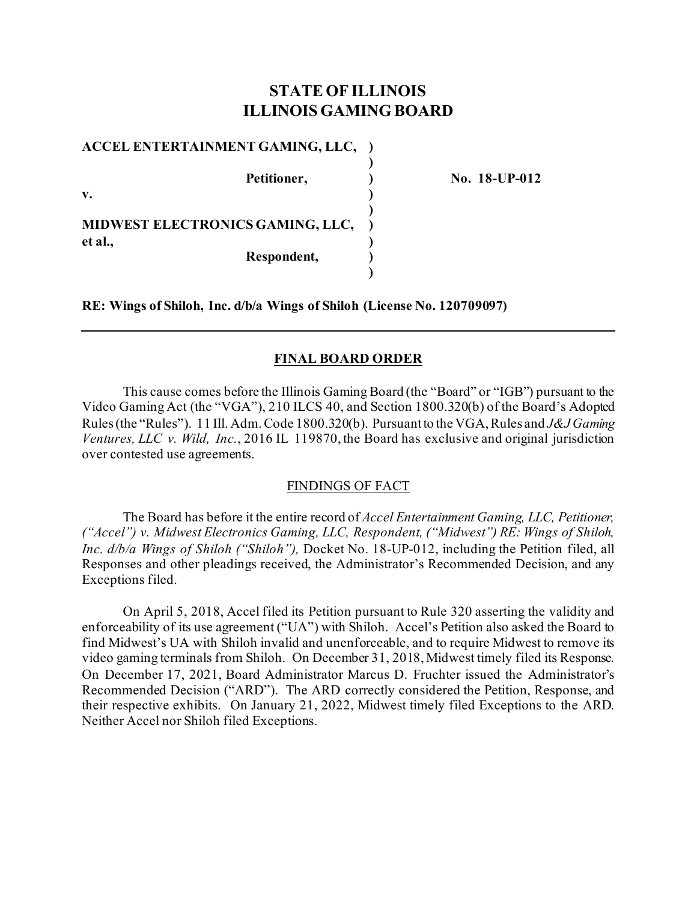# **STATE OF ILLINOIS ILLINOIS GAMING BOARD**

**)**

**)**

**)**

**ACCEL ENTERTAINMENT GAMING, LLC, )**

**v. ) MIDWEST ELECTRONICS GAMING, LLC, ) et al., )**

**Respondent, )**

**Petitioner, ) No. 18-UP-012**

**RE: Wings of Shiloh, Inc. d/b/a Wings of Shiloh (License No. 120709097)**

## **FINAL BOARD ORDER**

This cause comes before the Illinois Gaming Board (the "Board" or "IGB") pursuant to the Video Gaming Act (the "VGA"), 210 ILCS 40, and Section 1800.320(b) of the Board's Adopted Rules (the "Rules"). 11 Ill. Adm. Code 1800.320(b). Pursuant to the VGA, Rules and *J&J Gaming Ventures, LLC v. Wild, Inc.*, 2016 IL 119870, the Board has exclusive and original jurisdiction over contested use agreements.

### FINDINGS OF FACT

The Board has before it the entire record of *Accel Entertainment Gaming, LLC, Petitioner, ("Accel") v. Midwest Electronics Gaming, LLC, Respondent, ("Midwest") RE: Wings of Shiloh, Inc. d/b/a Wings of Shiloh ("Shiloh"),* Docket No. 18-UP-012, including the Petition filed, all Responses and other pleadings received, the Administrator's Recommended Decision, and any Exceptions filed.

On April 5, 2018, Accel filed its Petition pursuant to Rule 320 asserting the validity and enforceability of its use agreement ("UA") with Shiloh. Accel's Petition also asked the Board to find Midwest's UA with Shiloh invalid and unenforceable, and to require Midwest to remove its video gaming terminals from Shiloh. On December 31, 2018, Midwest timely filed its Response. On December 17, 2021, Board Administrator Marcus D. Fruchter issued the Administrator's Recommended Decision ("ARD"). The ARD correctly considered the Petition, Response, and their respective exhibits. On January 21, 2022, Midwest timely filed Exceptions to the ARD. Neither Accel nor Shiloh filed Exceptions.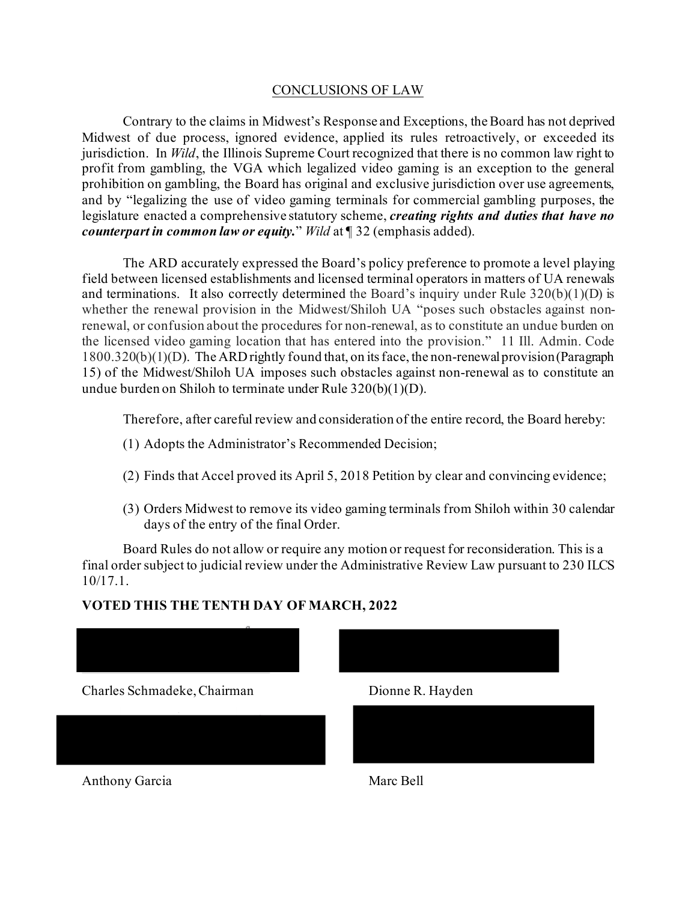### CONCLUSIONS OF LAW

Contrary to the claims in Midwest's Response and Exceptions, the Board has not deprived Midwest of due process, ignored evidence, applied its rules retroactively, or exceeded its jurisdiction. In *Wild*, the Illinois Supreme Court recognized that there is no common law right to profit from gambling, the VGA which legalized video gaming is an exception to the general prohibition on gambling, the Board has original and exclusive jurisdiction over use agreements, and by "legalizing the use of video gaming terminals for commercial gambling purposes, the legislature enacted a comprehensive statutory scheme, *creating rights and duties that have no counterpart in common law or equity.*" *Wild* at ¶ 32 (emphasis added).

The ARD accurately expressed the Board's policy preference to promote a level playing field between licensed establishments and licensed terminal operators in matters of UA renewals and terminations. It also correctly determined the Board's inquiry under Rule  $320(b)(1)(D)$  is whether the renewal provision in the Midwest/Shiloh UA "poses such obstacles against nonrenewal, or confusion about the procedures for non-renewal, as to constitute an undue burden on the licensed video gaming location that has entered into the provision." 11 Ill. Admin. Code 1800.320(b)(1)(D). The ARD rightly found that, on its face, the non-renewal provision (Paragraph 15) of the Midwest/Shiloh UA imposes such obstacles against non-renewal as to constitute an undue burden on Shiloh to terminate under Rule 320(b)(1)(D).

Therefore, after careful review and consideration of the entire record, the Board hereby:

- (1) Adopts the Administrator's Recommended Decision;
- (2) Finds that Accel proved its April 5, 2018 Petition by clear and convincing evidence;
- (3) Orders Midwest to remove its video gaming terminals from Shiloh within 30 calendar days of the entry of the final Order.

Board Rules do not allow or require any motion or request for reconsideration. This is a final order subject to judicial review under the Administrative Review Law pursuant to 230 ILCS 10/17.1.

## **VOTED THIS THE TENTH DAY OF MARCH, 2022**





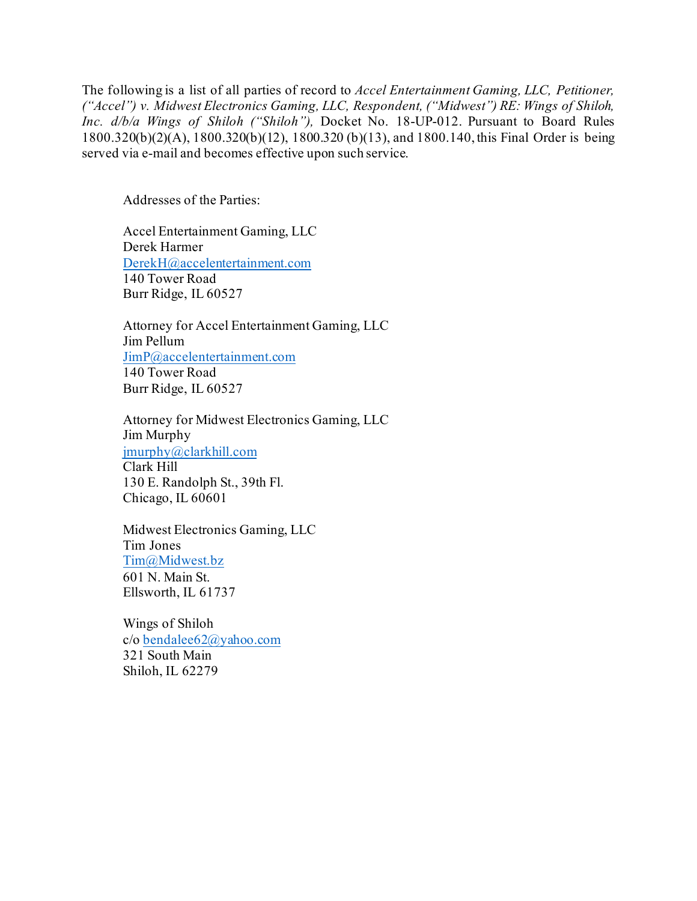The following is a list of all parties of record to *Accel Entertainment Gaming, LLC, Petitioner, ("Accel") v. Midwest Electronics Gaming, LLC, Respondent, ("Midwest") RE: Wings of Shiloh, Inc. d/b/a Wings of Shiloh ("Shiloh"),* Docket No. 18-UP-012. Pursuant to Board Rules 1800.320(b)(2)(A), 1800.320(b)(12), 1800.320 (b)(13), and 1800.140, this Final Order is being served via e-mail and becomes effective upon such service.

Addresses of the Parties:

Accel Entertainment Gaming, LLC Derek Harmer [DerekH@accelentertainment.com](mailto:DerekH@accelentertainment.com) 140 Tower Road Burr Ridge, IL 60527

Attorney for Accel Entertainment Gaming, LLC Jim Pellum [JimP@accelentertainment.com](mailto:JimP@accelentertainment.com) 140 Tower Road Burr Ridge, IL 60527

Attorney for Midwest Electronics Gaming, LLC Jim Murphy [jmurphy@clarkhill.com](mailto:jmurphy@clarkhill.com) Clark Hill 130 E. Randolph St., 39th Fl. Chicago, IL 60601

Midwest Electronics Gaming, LLC Tim Jones [Tim@Midwest.bz](mailto:Tim@Midwest.bz) 601 N. Main St. Ellsworth, IL 61737

Wings of Shiloh c/o [bendalee62@yahoo.com](mailto:bendalee62@yahoo.com) 321 South Main Shiloh, IL 62279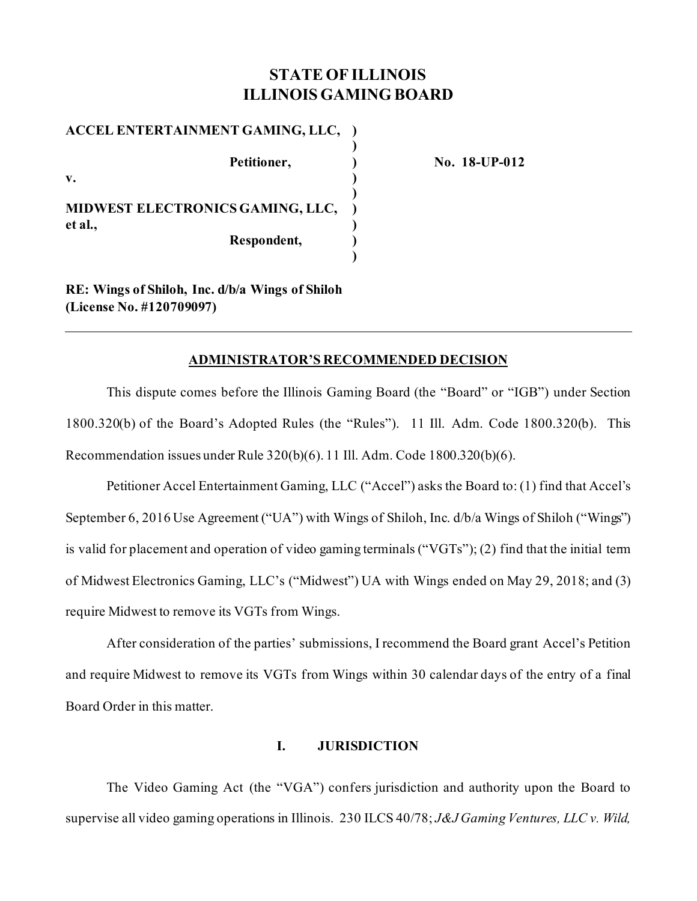# **STATE OF ILLINOIS ILLINOIS GAMING BOARD**

**)**

**)**

**)**

**ACCEL ENTERTAINMENT GAMING, LLC, ) Petitioner, ) No. 18-UP-012 v. ) MIDWEST ELECTRONICS GAMING, LLC, ) et al., ) Respondent, )**

**RE: Wings of Shiloh, Inc. d/b/a Wings of Shiloh (License No. #120709097)**

#### **ADMINISTRATOR'S RECOMMENDED DECISION**

This dispute comes before the Illinois Gaming Board (the "Board" or "IGB") under Section 1800.320(b) of the Board's Adopted Rules (the "Rules"). 11 Ill. Adm. Code 1800.320(b). This Recommendation issues under Rule 320(b)(6). 11 Ill. Adm. Code 1800.320(b)(6).

Petitioner Accel Entertainment Gaming, LLC ("Accel") asks the Board to: (1) find that Accel's September 6, 2016 Use Agreement ("UA") with Wings of Shiloh, Inc. d/b/a Wings of Shiloh ("Wings") is valid for placement and operation of video gaming terminals ("VGTs"); (2) find that the initial term of Midwest Electronics Gaming, LLC's ("Midwest") UA with Wings ended on May 29, 2018; and (3) require Midwest to remove its VGTs from Wings.

After consideration of the parties' submissions, I recommend the Board grant Accel's Petition and require Midwest to remove its VGTs from Wings within 30 calendar days of the entry of a final Board Order in this matter.

### **I. JURISDICTION**

The Video Gaming Act (the "VGA") confers jurisdiction and authority upon the Board to supervise all video gaming operations in Illinois. 230 ILCS 40/78; *J&J Gaming Ventures, LLC v. Wild,*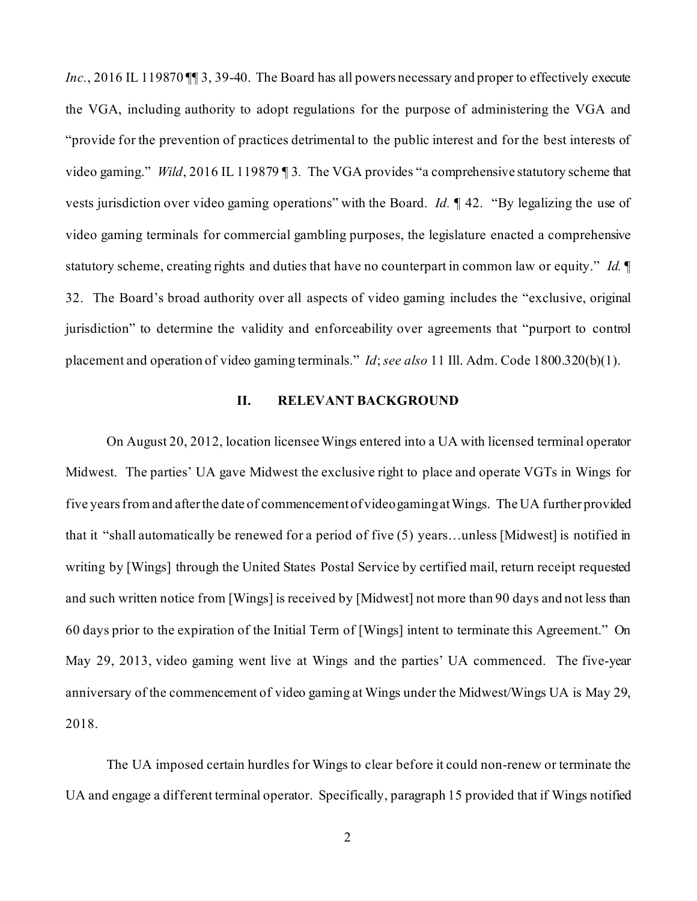Inc., 2016 IL 119870 II 3, 39-40. The Board has all powers necessary and proper to effectively execute the VGA, including authority to adopt regulations for the purpose of administering the VGA and "provide for the prevention of practices detrimental to the public interest and for the best interests of video gaming." *Wild*, 2016 IL 119879 ¶ 3*.* The VGA provides "a comprehensive statutory scheme that vests jurisdiction over video gaming operations" with the Board. *Id.* ¶ 42. "By legalizing the use of video gaming terminals for commercial gambling purposes, the legislature enacted a comprehensive statutory scheme, creating rights and duties that have no counterpart in common law or equity." *Id.* ¶ 32. The Board's broad authority over all aspects of video gaming includes the "exclusive, original jurisdiction" to determine the validity and enforceability over agreements that "purport to control placement and operation of video gaming terminals." *Id*; *see also* 11 Ill. Adm. Code 1800.320(b)(1).

#### **II. RELEVANT BACKGROUND**

On August 20, 2012, location licensee Wings entered into a UA with licensed terminal operator Midwest. The parties' UA gave Midwest the exclusive right to place and operate VGTs in Wings for five years from and after the date of commencement of video gamingat Wings. The UA further provided that it "shall automatically be renewed for a period of five (5) years…unless [Midwest] is notified in writing by [Wings] through the United States Postal Service by certified mail, return receipt requested and such written notice from [Wings] is received by [Midwest] not more than 90 days and not less than 60 days prior to the expiration of the Initial Term of [Wings] intent to terminate this Agreement." On May 29, 2013, video gaming went live at Wings and the parties' UA commenced. The five-year anniversary of the commencement of video gaming at Wings under the Midwest/Wings UA is May 29, 2018.

The UA imposed certain hurdles for Wings to clear before it could non-renew or terminate the UA and engage a different terminal operator. Specifically, paragraph 15 provided that if Wings notified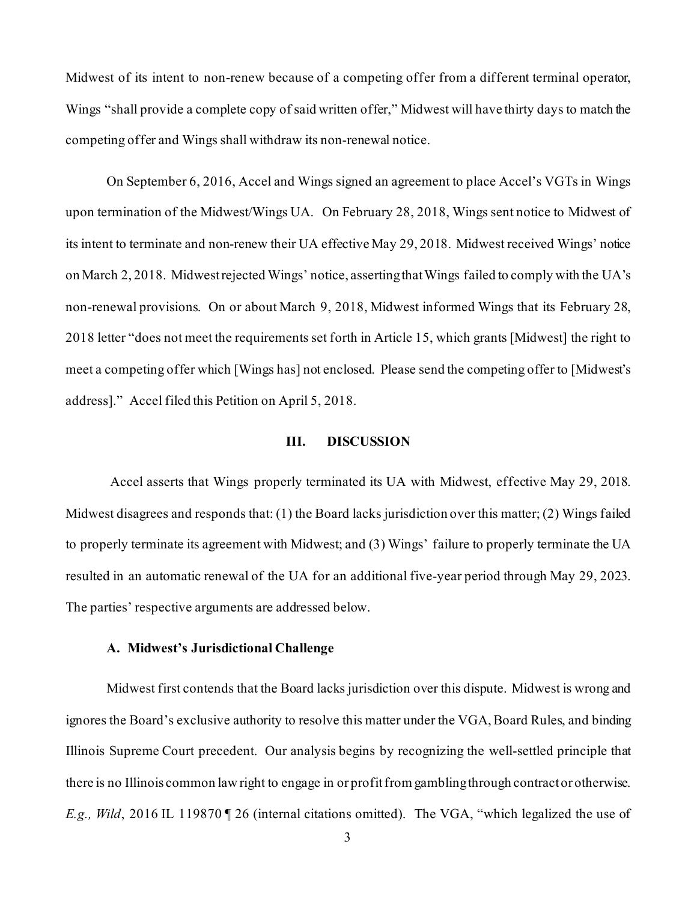Midwest of its intent to non-renew because of a competing offer from a different terminal operator, Wings "shall provide a complete copy of said written offer," Midwest will have thirty days to match the competing offer and Wings shall withdraw its non-renewal notice.

On September 6, 2016, Accel and Wings signed an agreement to place Accel's VGTs in Wings upon termination of the Midwest/Wings UA. On February 28, 2018, Wings sent notice to Midwest of its intent to terminate and non-renew their UA effective May 29, 2018. Midwest received Wings' notice on March 2, 2018. Midwest rejected Wings' notice, asserting that Wings failed to comply with the UA's non-renewal provisions. On or about March 9, 2018, Midwest informed Wings that its February 28, 2018 letter "does not meet the requirements set forth in Article 15, which grants [Midwest] the right to meet a competing offer which [Wings has] not enclosed. Please send the competing offer to [Midwest's address]." Accel filed this Petition on April 5, 2018.

#### **III. DISCUSSION**

Accel asserts that Wings properly terminated its UA with Midwest, effective May 29, 2018. Midwest disagrees and responds that: (1) the Board lacks jurisdiction over this matter; (2) Wings failed to properly terminate its agreement with Midwest; and (3) Wings' failure to properly terminate the UA resulted in an automatic renewal of the UA for an additional five-year period through May 29, 2023. The parties' respective arguments are addressed below.

#### **A. Midwest's Jurisdictional Challenge**

Midwest first contends that the Board lacks jurisdiction over this dispute. Midwest is wrong and ignores the Board's exclusive authority to resolve this matter under the VGA, Board Rules, and binding Illinois Supreme Court precedent. Our analysis begins by recognizing the well-settled principle that there is no Illinois common law right to engage in or profit from gambling through contract or otherwise. *E.g., Wild*, 2016 IL 119870 ¶ 26 (internal citations omitted). The VGA, "which legalized the use of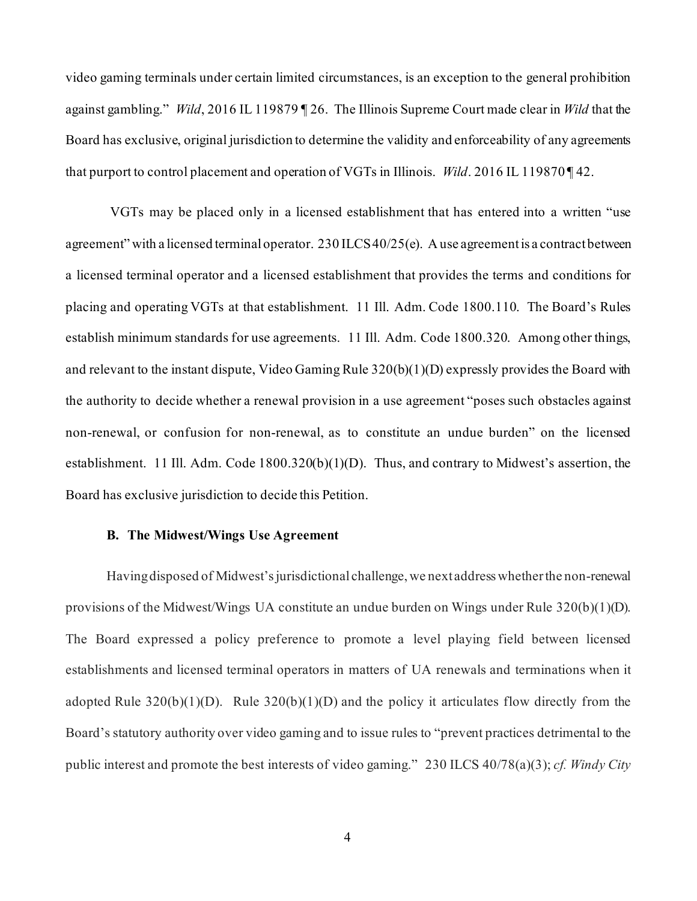video gaming terminals under certain limited circumstances, is an exception to the general prohibition against gambling." *Wild*, 2016 IL 119879 ¶ 26. The Illinois Supreme Court made clear in *Wild* that the Board has exclusive, original jurisdiction to determine the validity and enforceability of any agreements that purport to control placement and operation of VGTs in Illinois. *Wild*. 2016 IL 119870 ¶ 42.

VGTs may be placed only in a licensed establishment that has entered into a written "use agreement" with a licensed terminal operator. 230 ILCS 40/25(e). A use agreement is a contract between a licensed terminal operator and a licensed establishment that provides the terms and conditions for placing and operating VGTs at that establishment. 11 Ill. Adm. Code 1800.110. The Board's Rules establish minimum standards for use agreements. 11 Ill. Adm. Code 1800.320. Among other things, and relevant to the instant dispute, Video Gaming Rule 320(b)(1)(D) expressly provides the Board with the authority to decide whether a renewal provision in a use agreement "poses such obstacles against non-renewal, or confusion for non-renewal, as to constitute an undue burden" on the licensed establishment. 11 Ill. Adm. Code 1800.320(b)(1)(D). Thus, and contrary to Midwest's assertion, the Board has exclusive jurisdiction to decide this Petition.

#### **B. The Midwest/Wings Use Agreement**

Having disposed of Midwest's jurisdictional challenge, we next address whether the non-renewal provisions of the Midwest/Wings UA constitute an undue burden on Wings under Rule  $320(b)(1)(D)$ . The Board expressed a policy preference to promote a level playing field between licensed establishments and licensed terminal operators in matters of UA renewals and terminations when it adopted Rule  $320(b)(1)(D)$ . Rule  $320(b)(1)(D)$  and the policy it articulates flow directly from the Board's statutory authority over video gaming and to issue rules to "prevent practices detrimental to the public interest and promote the best interests of video gaming." 230 ILCS 40/78(a)(3); *cf. Windy City*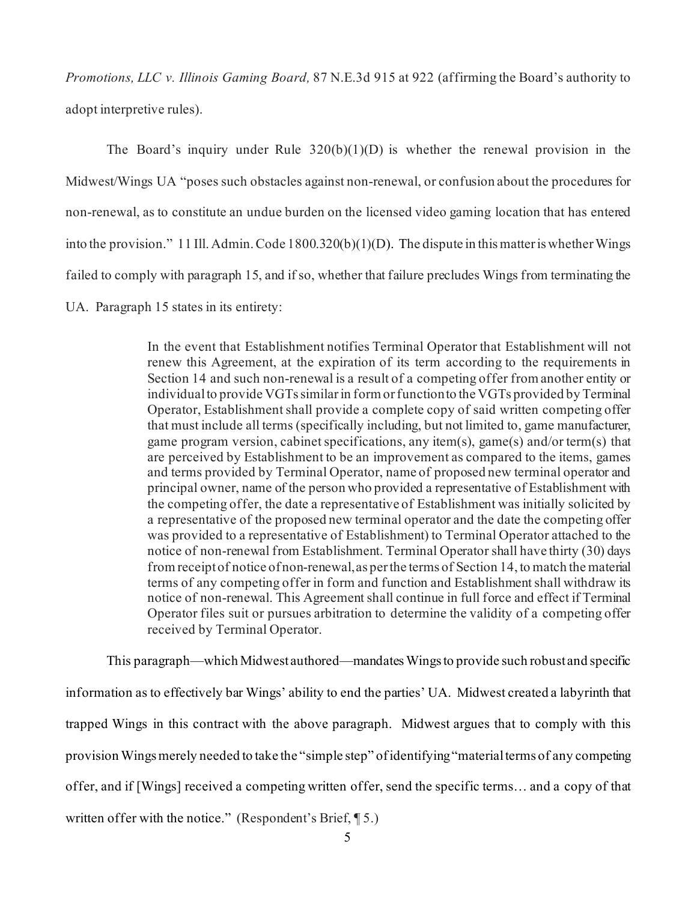*Promotions, LLC v. Illinois Gaming Board,* 87 N.E.3d 915 at 922 (affirming the Board's authority to adopt interpretive rules).

The Board's inquiry under Rule  $320(b)(1)(D)$  is whether the renewal provision in the Midwest/Wings UA "poses such obstacles against non-renewal, or confusion about the procedures for non-renewal, as to constitute an undue burden on the licensed video gaming location that has entered into the provision." 11 Ill. Admin. Code 1800.320(b)(1)(D). The dispute in this matter is whether Wings failed to comply with paragraph 15, and if so, whether that failure precludes Wings from terminating the UA. Paragraph 15 states in its entirety:

> In the event that Establishment notifies Terminal Operator that Establishment will not renew this Agreement, at the expiration of its term according to the requirements in Section 14 and such non-renewal is a result of a competing offer from another entity or individual to provide VGTs similar in form or function to the VGTs provided by Terminal Operator, Establishment shall provide a complete copy of said written competing offer that must include all terms (specifically including, but not limited to, game manufacturer, game program version, cabinet specifications, any item(s), game(s) and/or term(s) that are perceived by Establishment to be an improvement as compared to the items, games and terms provided by Terminal Operator, name of proposed new terminal operator and principal owner, name of the person who provided a representative of Establishment with the competing offer, the date a representative of Establishment was initially solicited by a representative of the proposed new terminal operator and the date the competing offer was provided to a representative of Establishment) to Terminal Operator attached to the notice of non-renewal from Establishment. Terminal Operator shall have thirty (30) days from receipt of notice of non-renewal, as per the terms of Section 14, to match the material terms of any competing offer in form and function and Establishment shall withdraw its notice of non-renewal. This Agreement shall continue in full force and effect if Terminal Operator files suit or pursues arbitration to determine the validity of a competing offer received by Terminal Operator.

This paragraph—which Midwest authored—mandates Wingsto provide such robust and specific information as to effectively bar Wings' ability to end the parties' UA. Midwest created a labyrinth that trapped Wings in this contract with the above paragraph. Midwest argues that to comply with this provision Wings merely needed to take the "simple step" of identifying "material terms of any competing offer, and if [Wings] received a competing written offer, send the specific terms… and a copy of that written offer with the notice." (Respondent's Brief, ¶ 5.)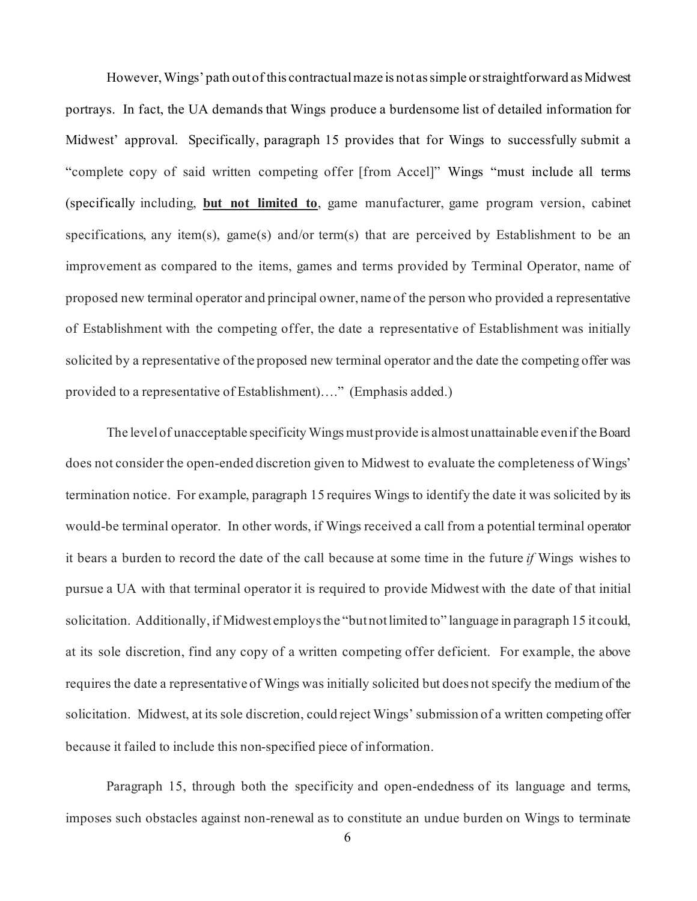However, Wings' path out of this contractual maze is not as simple or straightforward as Midwest portrays. In fact, the UA demands that Wings produce a burdensome list of detailed information for Midwest' approval. Specifically, paragraph 15 provides that for Wings to successfully submit a "complete copy of said written competing offer [from Accel]" Wings "must include all terms (specifically including, **but not limited to**, game manufacturer, game program version, cabinet specifications, any item(s), game(s) and/or term(s) that are perceived by Establishment to be an improvement as compared to the items, games and terms provided by Terminal Operator, name of proposed new terminal operator and principal owner, name of the person who provided a representative of Establishment with the competing offer, the date a representative of Establishment was initially solicited by a representative of the proposed new terminal operator and the date the competing offer was provided to a representative of Establishment)…." (Emphasis added.)

The level of unacceptable specificity Wings must provide is almost unattainable even if the Board does not consider the open-ended discretion given to Midwest to evaluate the completeness of Wings' termination notice. For example, paragraph 15 requires Wings to identify the date it was solicited by its would-be terminal operator. In other words, if Wings received a call from a potential terminal operator it bears a burden to record the date of the call because at some time in the future *if* Wings wishes to pursue a UA with that terminal operator it is required to provide Midwest with the date of that initial solicitation. Additionally, if Midwest employs the "but not limited to" language in paragraph 15 it could, at its sole discretion, find any copy of a written competing offer deficient. For example, the above requires the date a representative of Wings was initially solicited but does not specify the medium of the solicitation. Midwest, at its sole discretion, could reject Wings' submission of a written competing offer because it failed to include this non-specified piece of information.

Paragraph 15, through both the specificity and open-endedness of its language and terms, imposes such obstacles against non-renewal as to constitute an undue burden on Wings to terminate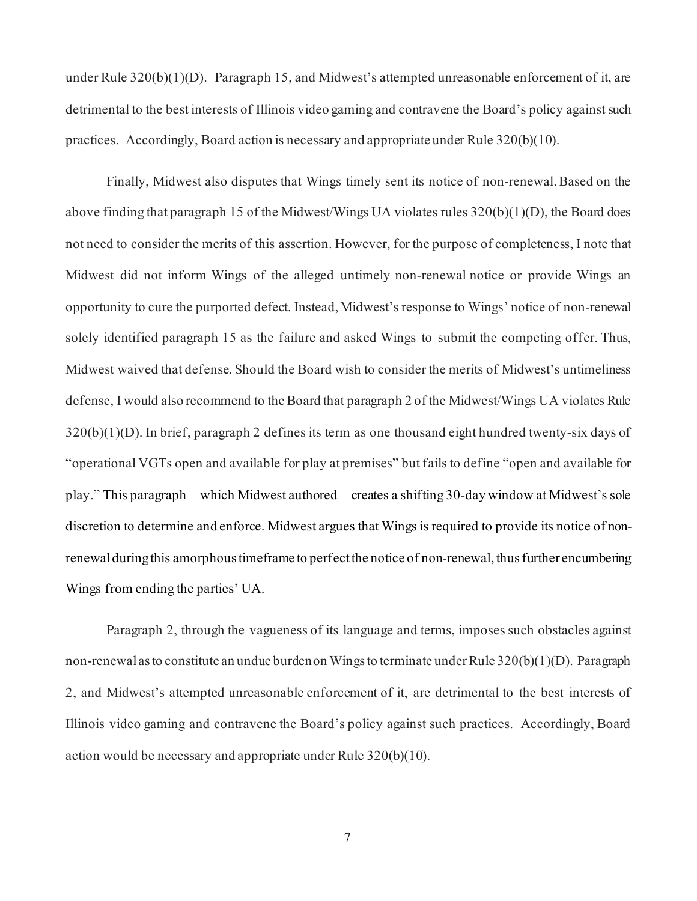under Rule  $320(b)(1)(D)$ . Paragraph 15, and Midwest's attempted unreasonable enforcement of it, are detrimental to the best interests of Illinois video gaming and contravene the Board's policy against such practices. Accordingly, Board action is necessary and appropriate under Rule 320(b)(10).

Finally, Midwest also disputes that Wings timely sent its notice of non-renewal. Based on the above finding that paragraph 15 of the Midwest/Wings UA violates rules 320(b)(1)(D), the Board does not need to consider the merits of this assertion. However, for the purpose of completeness, I note that Midwest did not inform Wings of the alleged untimely non-renewal notice or provide Wings an opportunity to cure the purported defect. Instead, Midwest's response to Wings' notice of non-renewal solely identified paragraph 15 as the failure and asked Wings to submit the competing offer. Thus, Midwest waived that defense. Should the Board wish to consider the merits of Midwest's untimeliness defense, I would also recommend to the Board that paragraph 2 of the Midwest/Wings UA violates Rule 320(b)(1)(D). In brief, paragraph 2 defines its term as one thousand eight hundred twenty-six days of "operational VGTs open and available for play at premises" but fails to define "open and available for play." This paragraph—which Midwest authored—creates a shifting 30-day window at Midwest's sole discretion to determine and enforce. Midwest argues that Wings is required to provide its notice of nonrenewal during this amorphous timeframe to perfect the notice of non-renewal, thus further encumbering Wings from ending the parties' UA.

Paragraph 2, through the vagueness of its language and terms, imposes such obstacles against non-renewal as to constitute an undue burden on Wings to terminate under Rule 320(b)(1)(D). Paragraph 2, and Midwest's attempted unreasonable enforcement of it, are detrimental to the best interests of Illinois video gaming and contravene the Board's policy against such practices. Accordingly, Board action would be necessary and appropriate under Rule 320(b)(10).